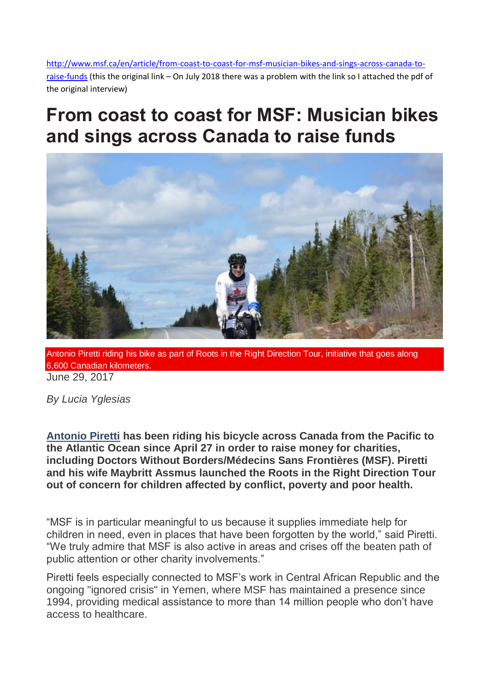[http://www.msf.ca/en/article/from-coast-to-coast-for-msf-musician-bikes-and-sings-across-canada-to](http://www.msf.ca/en/article/from-coast-to-coast-for-msf-musician-bikes-and-sings-across-canada-to-raise-funds)[raise-funds](http://www.msf.ca/en/article/from-coast-to-coast-for-msf-musician-bikes-and-sings-across-canada-to-raise-funds) (this the original link – On July 2018 there was a problem with the link so I attached the pdf of the original interview)

## **From coast to coast for MSF: Musician bikes and sings across Canada to raise funds**



Antonio Piretti riding his bike as part of Roots in the Right Direction Tour, initiative that goes along 6,600 Canadian kilometers. June 29, 2017

*By Lucia Yglesias*

**[Antonio Piretti](https://www.antoniopirettitoz.com/) has been riding his bicycle across Canada from the Pacific to the Atlantic Ocean since April 27 in order to raise money for charities, including Doctors Without Borders/Médecins Sans Frontières (MSF). Piretti and his wife Maybritt Assmus launched the Roots in the Right Direction Tour out of concern for children affected by conflict, poverty and poor health.**

"MSF is in particular meaningful to us because it supplies immediate help for children in need, even in places that have been forgotten by the world," said Piretti. "We truly admire that MSF is also active in areas and crises off the beaten path of public attention or other charity involvements."

Piretti feels especially connected to MSF"s work in Central African Republic and the ongoing "ignored crisis" in Yemen, where MSF has maintained a presence since 1994, providing medical assistance to more than 14 million people who don"t have access to healthcare.